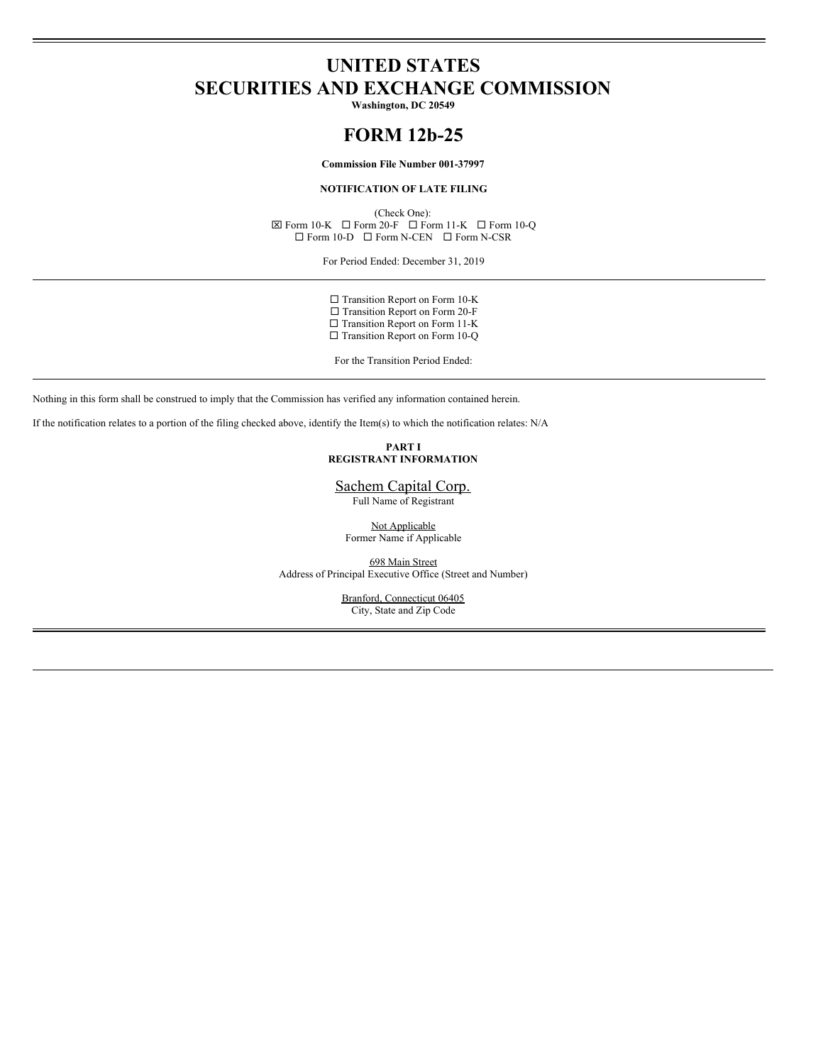# **UNITED STATES SECURITIES AND EXCHANGE COMMISSION**

**Washington, DC 20549**

# **FORM 12b-25**

## **Commission File Number 001-37997**

## **NOTIFICATION OF LATE FILING**

(Check One):  $\boxtimes$  Form 10-K  $\Box$  Form 20-F  $\Box$  Form 11-K  $\Box$  Form 10-Q  $\square$  Form 10-D  $\square$  Form N-CEN  $\square$  Form N-CSR

For Period Ended: December 31, 2019

- □ Transition Report on Form 10-K
- □ Transition Report on Form 20-F
- $\Box$  Transition Report on Form 11-K
- □ Transition Report on Form 10-Q

For the Transition Period Ended:

Nothing in this form shall be construed to imply that the Commission has verified any information contained herein.

If the notification relates to a portion of the filing checked above, identify the Item(s) to which the notification relates: N/A

**PART I REGISTRANT INFORMATION**

Sachem Capital Corp. Full Name of Registrant

Not Applicable Former Name if Applicable

698 Main Street Address of Principal Executive Office (Street and Number)

> Branford, Connecticut 06405 City, State and Zip Code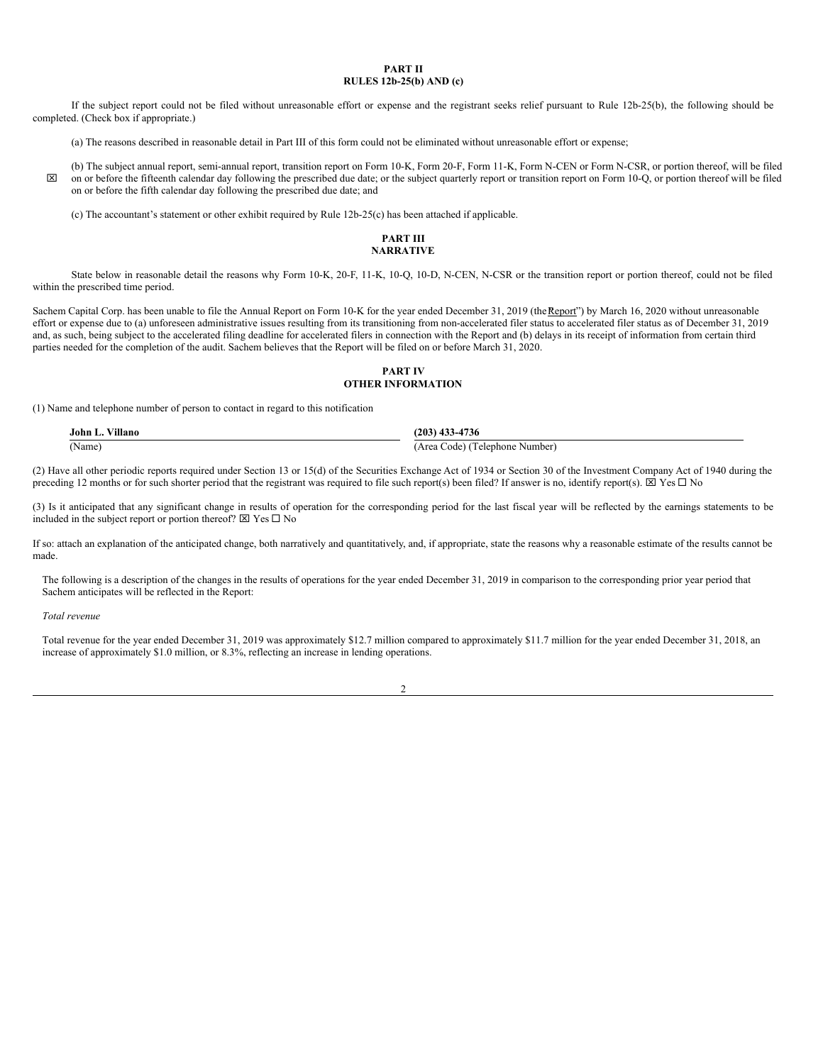### **PART II RULES 12b-25(b) AND (c)**

If the subject report could not be filed without unreasonable effort or expense and the registrant seeks relief pursuant to Rule 12b-25(b), the following should be completed. (Check box if appropriate.)

(a) The reasons described in reasonable detail in Part III of this form could not be eliminated without unreasonable effort or expense;

 $\overline{\mathbf{x}}$ (b) The subject annual report, semi-annual report, transition report on Form 10-K, Form 20-F, Form 11-K, Form N-CEN or Form N-CSR, or portion thereof, will be filed on or before the fifteenth calendar day following the prescribed due date; or the subject quarterly report or transition report on Form 10-Q, or portion thereof will be filed on or before the fifth calendar day following the prescribed due date; and

(c) The accountant's statement or other exhibit required by Rule 12b-25(c) has been attached if applicable.

## **PART III NARRATIVE**

State below in reasonable detail the reasons why Form 10-K, 20-F, 11-K, 10-Q, 10-D, N-CEN, N-CSR or the transition report or portion thereof, could not be filed within the prescribed time period.

Sachem Capital Corp. has been unable to file the Annual Report on Form 10-K for the year ended December 31, 2019 (the Report") by March 16, 2020 without unreasonable effort or expense due to (a) unforeseen administrative issues resulting from its transitioning from non-accelerated filer status to accelerated filer status as of December 31, 2019 and, as such, being subject to the accelerated filing deadline for accelerated filers in connection with the Report and (b) delays in its receipt of information from certain third parties needed for the completion of the audit. Sachem believes that the Report will be filed on or before March 31, 2020.

## **PART IV OTHER INFORMATION**

(1) Name and telephone number of person to contact in regard to this notification

| John L. Villano | $(203)$ 433-4736               |
|-----------------|--------------------------------|
| (Name)          | (Area Code) (Telephone Number) |

(2) Have all other periodic reports required under Section 13 or 15(d) of the Securities Exchange Act of 1934 or Section 30 of the Investment Company Act of 1940 during the preceding 12 months or for such shorter period that the registrant was required to file such report(s) been filed? If answer is no, identify report(s).  $\boxtimes$  Yes  $\square$  No

(3) Is it anticipated that any significant change in results of operation for the corresponding period for the last fiscal year will be reflected by the earnings statements to be included in the subject report or portion thereof?  $\boxtimes$  Yes  $\Box$  No

If so: attach an explanation of the anticipated change, both narratively and quantitatively, and, if appropriate, state the reasons why a reasonable estimate of the results cannot be made.

The following is a description of the changes in the results of operations for the year ended December 31, 2019 in comparison to the corresponding prior year period that Sachem anticipates will be reflected in the Report:

#### *Total revenue*

Total revenue for the year ended December 31, 2019 was approximately \$12.7 million compared to approximately \$11.7 million for the year ended December 31, 2018, an increase of approximately \$1.0 million, or 8.3%, reflecting an increase in lending operations.

 $\mathcal{L}$